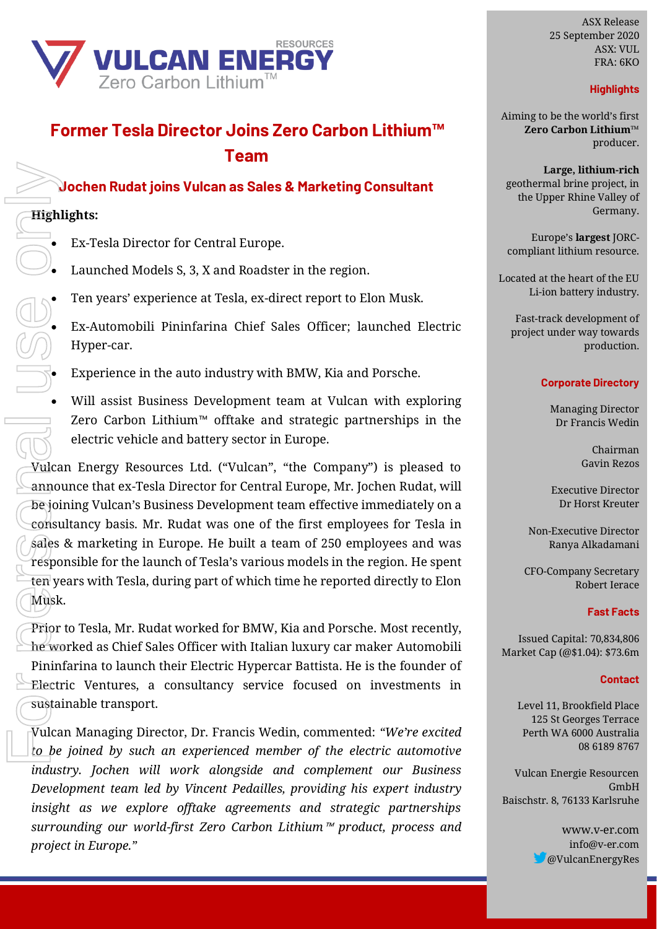

# **Former Tesla Director Joins Zero Carbon Lithium™ Team**

## **Jochen Rudat joins Vulcan as Sales & Marketing Consultant**

## **Highlights:**

- Ex-Tesla Director for Central Europe.
- Launched Models S, 3, X and Roadster in the region.
- Ten years' experience at Tesla, ex-direct report to Elon Musk.
- Ex-Automobili Pininfarina Chief Sales Officer; launched Electric Hyper-car.
- Experience in the auto industry with BMW, Kia and Porsche.
- Will assist Business Development team at Vulcan with exploring Zero Carbon Lithium™ offtake and strategic partnerships in the electric vehicle and battery sector in Europe.

Vulcan Energy Resources Ltd. ("Vulcan", "the Company") is pleased to announce that ex-Tesla Director for Central Europe, Mr. Jochen Rudat, will be joining Vulcan's Business Development team effective immediately on a consultancy basis. Mr. Rudat was one of the first employees for Tesla in sales & marketing in Europe. He built a team of 250 employees and was responsible for the launch of Tesla's various models in the region. He spent ten years with Tesla, during part of which time he reported directly to Elon Musk.

Prior to Tesla, Mr. Rudat worked for BMW, Kia and Porsche. Most recently,  $the$  worked as Chief Sales Officer with Italian luxury car maker Automobili Pininfarina to launch their Electric Hypercar Battista. He is the founder of Electric Ventures, a consultancy service focused on investments in sustainable transport.

Vulcan Managing Director, Dr. Francis Wedin, commented: *"We're excited to be joined by such an experienced member of the electric automotive industry. Jochen will work alongside and complement our Business Development team led by Vincent Pedailles, providing his expert industry insight as we explore offtake agreements and strategic partnerships surrounding our world-first Zero Carbon Lithium*™ *product, process and project in Europe."*

ASX Release 25 September 2020 ASX: VUL FRA: 6KO

## **Highlights**

Aiming to be the world's first **Zero Carbon Lithium™** producer.

**Large, lithium-rich** geothermal brine project, in the Upper Rhine Valley of Germany.

Europe's **largest** JORCcompliant lithium resource.

Located at the heart of the EU Li-ion battery industry.

Fast-track development of project under way towards production.

#### **Corporate Directory**

Managing Director Dr Francis Wedin

> Chairman Gavin Rezos

Executive Director Dr Horst Kreuter

Non-Executive Director Ranya Alkadamani

CFO-Company Secretary Robert Ierace

### **Fast Facts**

Issued Capital: 70,834,806 Market Cap (@\$1.04): \$73.6m

#### **Contact**

Level 11, Brookfield Place 125 St Georges Terrace Perth WA 6000 Australia 08 6189 8767

Vulcan Energie Resourcen GmbH Baischstr. 8, 76133 Karlsruhe

> www.v-er.com info@v-er.com @VulcanEnergyRes